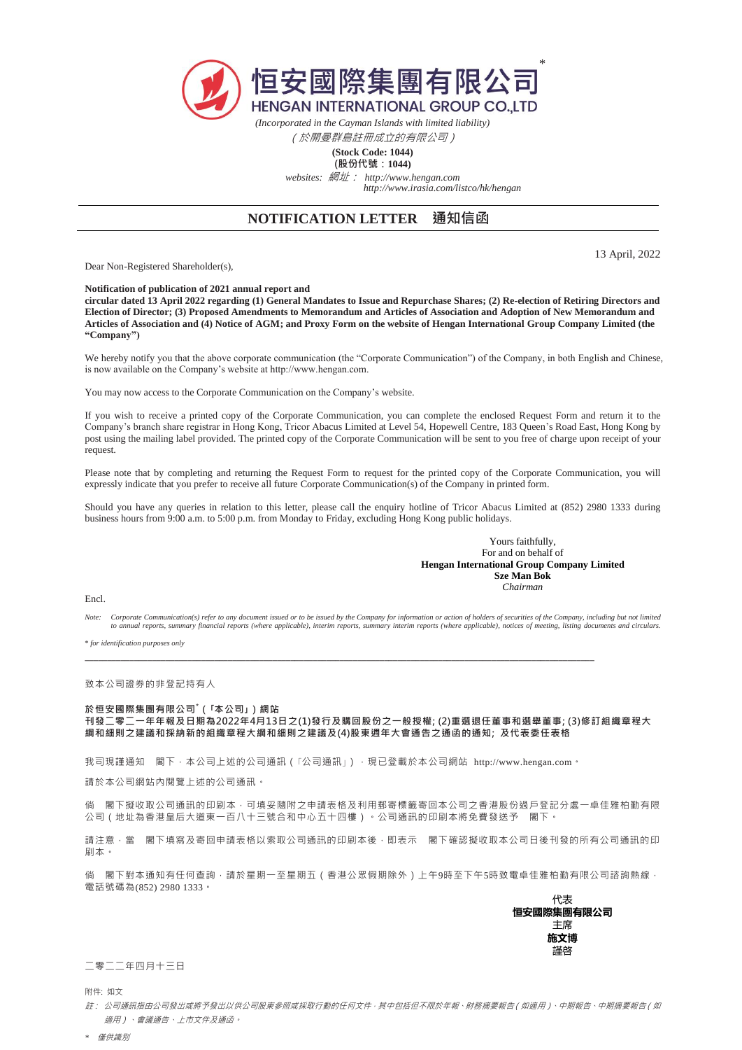

*(Incorporated in the Cayman Islands with limited liability)* (於開曼群島註冊成立的有限公司)

## **(Stock Code: 1044)**

**(股份代號:1044)** *websites:* 網址: *http://www.hengan.com http://www.irasia.com/listco/hk/hengan*

## **NOTIFICATION LETTER 通知信函**

Dear Non-Registered Shareholder(s),

13 April, 2022

**Notification of publication of 2021 annual report and** 

**circular dated 13 April 2022 regarding (1) General Mandates to Issue and Repurchase Shares; (2) Re-election of Retiring Directors and Election of Director; (3) Proposed Amendments to Memorandum and Articles of Association and Adoption of New Memorandum and Articles of Association and (4) Notice of AGM; and Proxy Form on the website of Hengan International Group Company Limited (the "Company")**

We hereby notify you that the above corporate communication (the "Corporate Communication") of the Company, in both English and Chinese, is now available on the Company's website at http://www.hengan.com.

You may now access to the Corporate Communication on the Company's website.

If you wish to receive a printed copy of the Corporate Communication, you can complete the enclosed Request Form and return it to the Company's branch share registrar in Hong Kong, Tricor Abacus Limited at Level 54, Hopewell Centre, 183 Queen's Road East, Hong Kong by post using the mailing label provided. The printed copy of the Corporate Communication will be sent to you free of charge upon receipt of your request.

Please note that by completing and returning the Request Form to request for the printed copy of the Corporate Communication, you will expressly indicate that you prefer to receive all future Corporate Communication(s) of the Company in printed form.

Should you have any queries in relation to this letter, please call the enquiry hotline of Tricor Abacus Limited at (852) 2980 1333 during business hours from 9:00 a.m. to 5:00 p.m. from Monday to Friday, excluding Hong Kong public holidays.

> Yours faithfully, For and on behalf of **Hengan International Group Company Limited Sze Man Bok** *Chairman*

Encl.

*Note: Corporate Communication(s) refer to any document issued or to be issued by the Company for information or action of holders of securities of the Company, including but not limited to annual reports, summary financial reports (where applicable), interim reports, summary interim reports (where applicable), notices of meeting, listing documents and circulars.*

\* *for identification purposes only*

致本公司證券的非登記持有人

## **於恒安國際集團有限公司\*(「本公司」)網站**

**刊發二零二一年年報及日期為2022年4月13日之(1)發行及購回股份之一般授權; (2)重選退任董事和選舉董事; (3)修訂組織章程大 綱和細則之建議和採納新的組織章程大綱和細則之建議及(4)股東週年大會通告之通函的通知; 及代表委任表格**

我司現謹通知 閣下,本公司上述的公司通訊 (「公司通訊」),現已登載於本公司網站 http://www.hengan.com。

請於本公司網站內閱覽上述的公司通訊。

倘 閣下擬收取公司通訊的印刷本,可填妥隨附之申請表格及利用郵寄標籤寄回本公司之香港股份過戶登記分處一卓佳雅柏勤有限 公司(地址為香港皇后大道東一百八十三號合和中心五十四樓)。公司通訊的印刷本將免費發送予 閣下。

請注意,當 閣下填寫及寄回申請表格以索取公司通訊的印刷本後,即表示 閣下確認擬收取本公司日後刊發的所有公司通訊的印 刷本。

倘 閣下對本通知有任何查詢,請於星期一至星期五(香港公眾假期除外)上午9時至下午5時致電卓佳雅柏勤有限公司諮詢熱線, 電話號碼為(852) 2980 1333。  $\overline{a}$ 

| 1でで        |  |
|------------|--|
| 恒安國際集團有限公司 |  |
| 主席         |  |
| 施文博        |  |
| 謹啓         |  |
|            |  |

二零二二年四月十三日

附件: 如文

註: 公司通訊指由公司發出或將予發出以供公司股東參照或採取行動的任何文件,其中包括但不限於年報、財務摘要報告(如適用)、中期報告、中期摘要報告(如 適用)、會議通告、上市文件及通函。

*\** 僅供識別